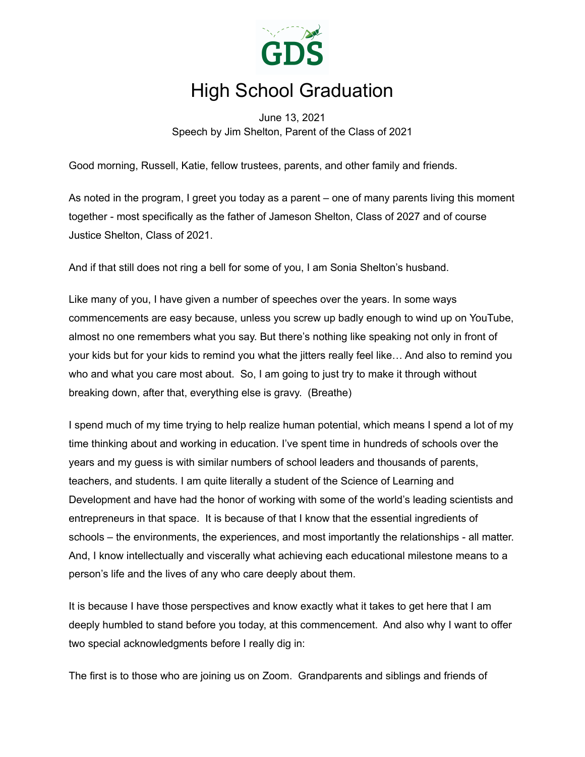

## High School Graduation

June 13, 2021 Speech by Jim Shelton, Parent of the Class of 2021

Good morning, Russell, Katie, fellow trustees, parents, and other family and friends.

As noted in the program, I greet you today as a parent – one of many parents living this moment together - most specifically as the father of Jameson Shelton, Class of 2027 and of course Justice Shelton, Class of 2021.

And if that still does not ring a bell for some of you, I am Sonia Shelton's husband.

Like many of you, I have given a number of speeches over the years. In some ways commencements are easy because, unless you screw up badly enough to wind up on YouTube, almost no one remembers what you say. But there's nothing like speaking not only in front of your kids but for your kids to remind you what the jitters really feel like… And also to remind you who and what you care most about. So, I am going to just try to make it through without breaking down, after that, everything else is gravy. (Breathe)

I spend much of my time trying to help realize human potential, which means I spend a lot of my time thinking about and working in education. I've spent time in hundreds of schools over the years and my guess is with similar numbers of school leaders and thousands of parents, teachers, and students. I am quite literally a student of the Science of Learning and Development and have had the honor of working with some of the world's leading scientists and entrepreneurs in that space. It is because of that I know that the essential ingredients of schools – the environments, the experiences, and most importantly the relationships - all matter. And, I know intellectually and viscerally what achieving each educational milestone means to a person's life and the lives of any who care deeply about them.

It is because I have those perspectives and know exactly what it takes to get here that I am deeply humbled to stand before you today, at this commencement. And also why I want to offer two special acknowledgments before I really dig in:

The first is to those who are joining us on Zoom. Grandparents and siblings and friends of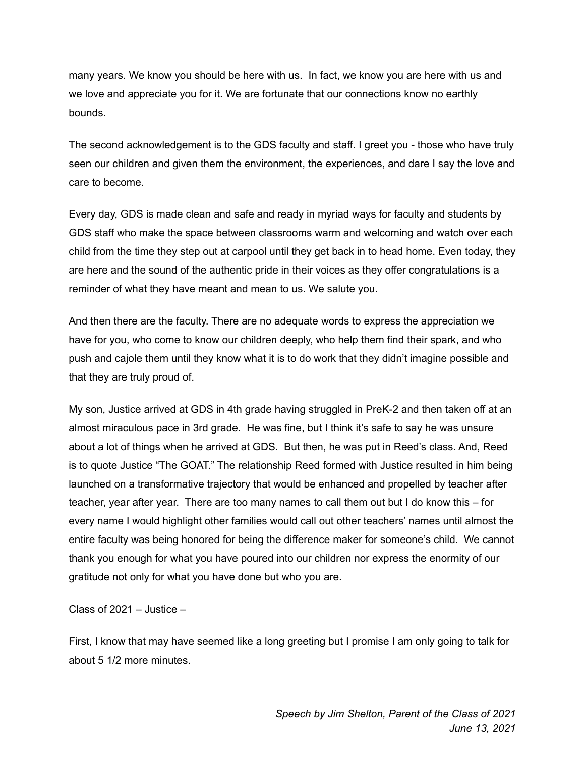many years. We know you should be here with us. In fact, we know you are here with us and we love and appreciate you for it. We are fortunate that our connections know no earthly bounds.

The second acknowledgement is to the GDS faculty and staff. I greet you - those who have truly seen our children and given them the environment, the experiences, and dare I say the love and care to become.

Every day, GDS is made clean and safe and ready in myriad ways for faculty and students by GDS staff who make the space between classrooms warm and welcoming and watch over each child from the time they step out at carpool until they get back in to head home. Even today, they are here and the sound of the authentic pride in their voices as they offer congratulations is a reminder of what they have meant and mean to us. We salute you.

And then there are the faculty. There are no adequate words to express the appreciation we have for you, who come to know our children deeply, who help them find their spark, and who push and cajole them until they know what it is to do work that they didn't imagine possible and that they are truly proud of.

My son, Justice arrived at GDS in 4th grade having struggled in PreK-2 and then taken off at an almost miraculous pace in 3rd grade. He was fine, but I think it's safe to say he was unsure about a lot of things when he arrived at GDS. But then, he was put in Reed's class. And, Reed is to quote Justice "The GOAT." The relationship Reed formed with Justice resulted in him being launched on a transformative trajectory that would be enhanced and propelled by teacher after teacher, year after year. There are too many names to call them out but I do know this – for every name I would highlight other families would call out other teachers' names until almost the entire faculty was being honored for being the difference maker for someone's child. We cannot thank you enough for what you have poured into our children nor express the enormity of our gratitude not only for what you have done but who you are.

Class of 2021 – Justice –

First, I know that may have seemed like a long greeting but I promise I am only going to talk for about 5 1/2 more minutes.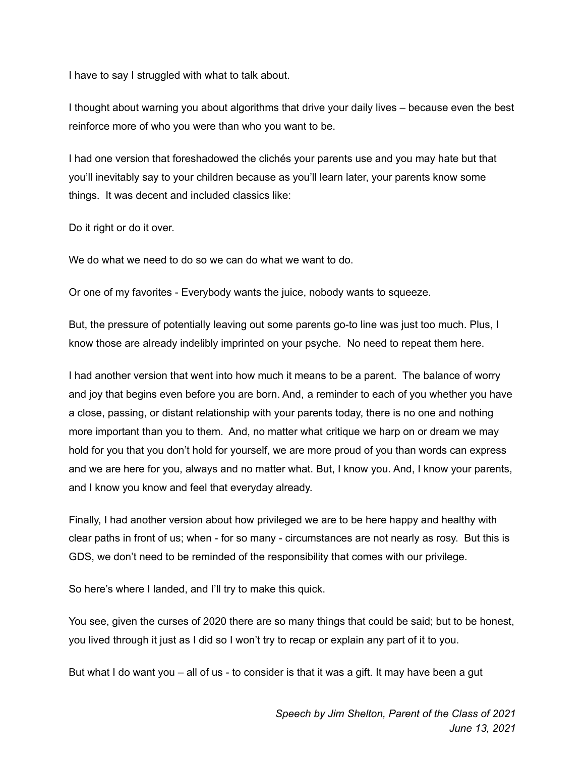I have to say I struggled with what to talk about.

I thought about warning you about algorithms that drive your daily lives – because even the best reinforce more of who you were than who you want to be.

I had one version that foreshadowed the clichés your parents use and you may hate but that you'll inevitably say to your children because as you'll learn later, your parents know some things. It was decent and included classics like:

Do it right or do it over.

We do what we need to do so we can do what we want to do.

Or one of my favorites - Everybody wants the juice, nobody wants to squeeze.

But, the pressure of potentially leaving out some parents go-to line was just too much. Plus, I know those are already indelibly imprinted on your psyche. No need to repeat them here.

I had another version that went into how much it means to be a parent. The balance of worry and joy that begins even before you are born. And, a reminder to each of you whether you have a close, passing, or distant relationship with your parents today, there is no one and nothing more important than you to them. And, no matter what critique we harp on or dream we may hold for you that you don't hold for yourself, we are more proud of you than words can express and we are here for you, always and no matter what. But, I know you. And, I know your parents, and I know you know and feel that everyday already.

Finally, I had another version about how privileged we are to be here happy and healthy with clear paths in front of us; when - for so many - circumstances are not nearly as rosy. But this is GDS, we don't need to be reminded of the responsibility that comes with our privilege.

So here's where I landed, and I'll try to make this quick.

You see, given the curses of 2020 there are so many things that could be said; but to be honest, you lived through it just as I did so I won't try to recap or explain any part of it to you.

But what I do want you – all of us - to consider is that it was a gift. It may have been a gut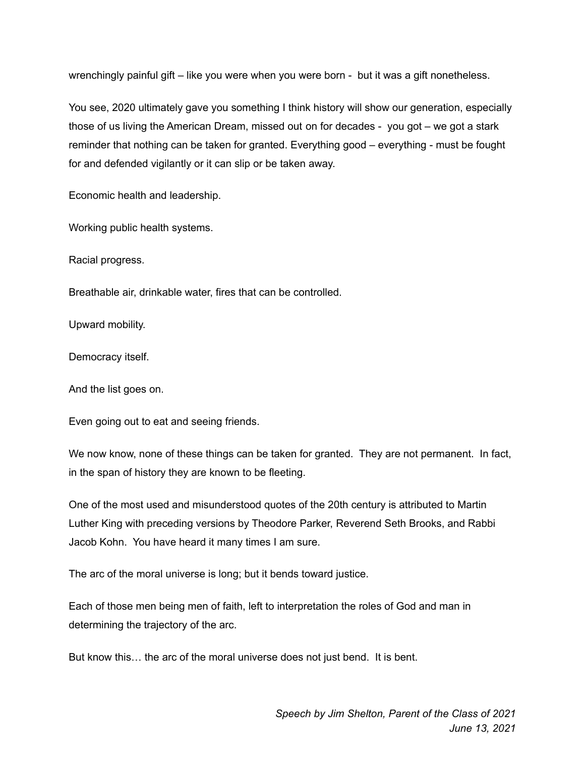wrenchingly painful gift – like you were when you were born - but it was a gift nonetheless.

You see, 2020 ultimately gave you something I think history will show our generation, especially those of us living the American Dream, missed out on for decades - you got – we got a stark reminder that nothing can be taken for granted. Everything good – everything - must be fought for and defended vigilantly or it can slip or be taken away.

Economic health and leadership.

Working public health systems.

Racial progress.

Breathable air, drinkable water, fires that can be controlled.

Upward mobility.

Democracy itself.

And the list goes on.

Even going out to eat and seeing friends.

We now know, none of these things can be taken for granted. They are not permanent. In fact, in the span of history they are known to be fleeting.

One of the most used and misunderstood quotes of the 20th century is attributed to Martin Luther King with preceding versions by Theodore Parker, Reverend Seth Brooks, and Rabbi Jacob Kohn. You have heard it many times I am sure.

The arc of the moral universe is long; but it bends toward justice.

Each of those men being men of faith, left to interpretation the roles of God and man in determining the trajectory of the arc.

But know this… the arc of the moral universe does not just bend. It is bent.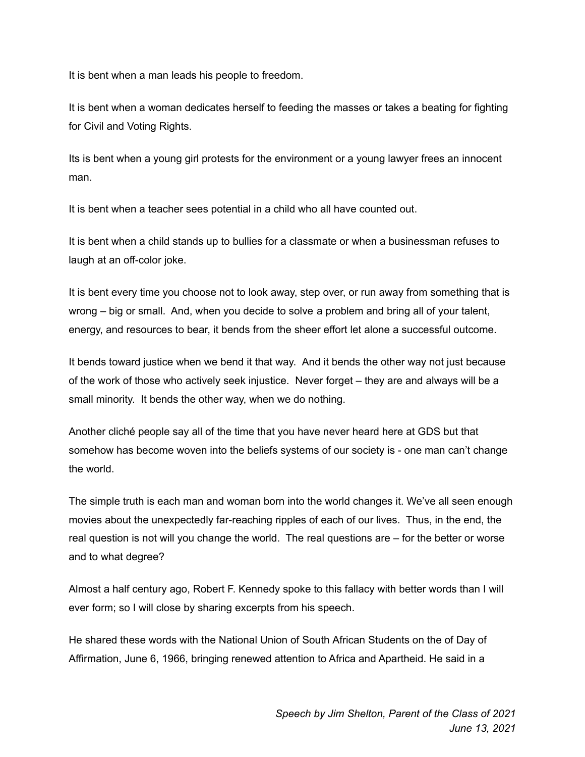It is bent when a man leads his people to freedom.

It is bent when a woman dedicates herself to feeding the masses or takes a beating for fighting for Civil and Voting Rights.

Its is bent when a young girl protests for the environment or a young lawyer frees an innocent man.

It is bent when a teacher sees potential in a child who all have counted out.

It is bent when a child stands up to bullies for a classmate or when a businessman refuses to laugh at an off-color joke.

It is bent every time you choose not to look away, step over, or run away from something that is wrong – big or small. And, when you decide to solve a problem and bring all of your talent, energy, and resources to bear, it bends from the sheer effort let alone a successful outcome.

It bends toward justice when we bend it that way. And it bends the other way not just because of the work of those who actively seek injustice. Never forget – they are and always will be a small minority. It bends the other way, when we do nothing.

Another cliché people say all of the time that you have never heard here at GDS but that somehow has become woven into the beliefs systems of our society is - one man can't change the world.

The simple truth is each man and woman born into the world changes it. We've all seen enough movies about the unexpectedly far-reaching ripples of each of our lives. Thus, in the end, the real question is not will you change the world. The real questions are – for the better or worse and to what degree?

Almost a half century ago, Robert F. Kennedy spoke to this fallacy with better words than I will ever form; so I will close by sharing excerpts from his speech.

He shared these words with the National Union of South African Students on the of Day of Affirmation, June 6, 1966, bringing renewed attention to Africa and Apartheid. He said in a